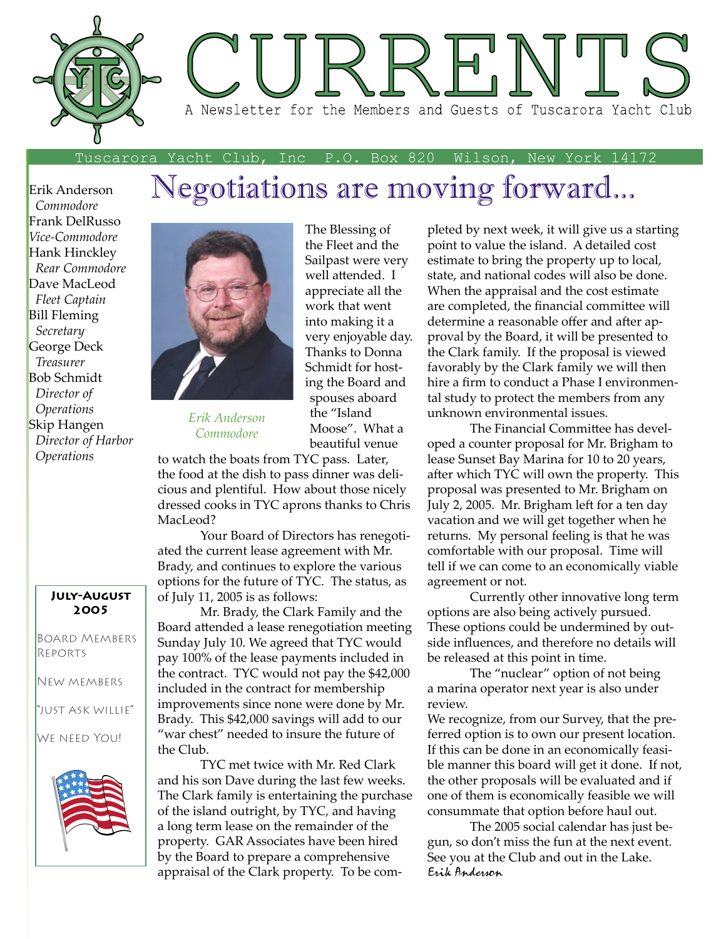

Tuscarora Yacht Club, Inc P.O. Box 820 Wilson, New York 14172

## Negotiations are moving forward...

Erik Anderson  *Commodore* Frank DelRusso *Vice-Commodore* Hank Hinckley  *Rear Commodore* Dave MacLeod  *Fleet Captain* Bill Fleming  *Secretary* George Deck  *Treasurer* Bob Schmidt  *Director of Operations* Skip Hangen  *Director of Harbor Operations*

#### **July-August 2005**

Board Members Reports

New members

"just ask willie"

We need You!





*Erik Anderson Commodore*

The Blessing of the Fleet and the Sailpast were very well attended. I appreciate all the work that went into making it a very enjoyable day. Thanks to Donna Schmidt for hosting the Board and spouses aboard the "Island Moose". What a beautiful venue

to watch the boats from TYC pass. Later, the food at the dish to pass dinner was delicious and plentiful. How about those nicely dressed cooks in TYC aprons thanks to Chris MacLeod?

 Your Board of Directors has renegotiated the current lease agreement with Mr. Brady, and continues to explore the various options for the future of TYC. The status, as of July 11, 2005 is as follows:

 Mr. Brady, the Clark Family and the Board attended a lease renegotiation meeting Sunday July 10. We agreed that TYC would pay 100% of the lease payments included in the contract. TYC would not pay the \$42,000 included in the contract for membership improvements since none were done by Mr. Brady. This \$42,000 savings will add to our "war chest" needed to insure the future of the Club.

 TYC met twice with Mr. Red Clark and his son Dave during the last few weeks. The Clark family is entertaining the purchase of the island outright, by TYC, and having a long term lease on the remainder of the property. GAR Associates have been hired by the Board to prepare a comprehensive appraisal of the Clark property. To be completed by next week, it will give us a starting point to value the island. A detailed cost estimate to bring the property up to local, state, and national codes will also be done. When the appraisal and the cost estimate are completed, the financial committee will determine a reasonable offer and after approval by the Board, it will be presented to the Clark family. If the proposal is viewed favorably by the Clark family we will then hire a firm to conduct a Phase I environmental study to protect the members from any unknown environmental issues.

The Financial Committee has developed a counter proposal for Mr. Brigham to lease Sunset Bay Marina for 10 to 20 years, after which TYC will own the property. This proposal was presented to Mr. Brigham on July 2, 2005. Mr. Brigham left for a ten day vacation and we will get together when he returns. My personal feeling is that he was comfortable with our proposal. Time will tell if we can come to an economically viable agreement or not.

 Currently other innovative long term options are also being actively pursued. These options could be undermined by outside influences, and therefore no details will be released at this point in time.

 The "nuclear" option of not being a marina operator next year is also under review.

We recognize, from our Survey, that the preferred option is to own our present location. If this can be done in an economically feasible manner this board will get it done. If not, the other proposals will be evaluated and if one of them is economically feasible we will consummate that option before haul out.

The 2005 social calendar has just begun, so don't miss the fun at the next event. See you at the Club and out in the Lake. Erik Anderson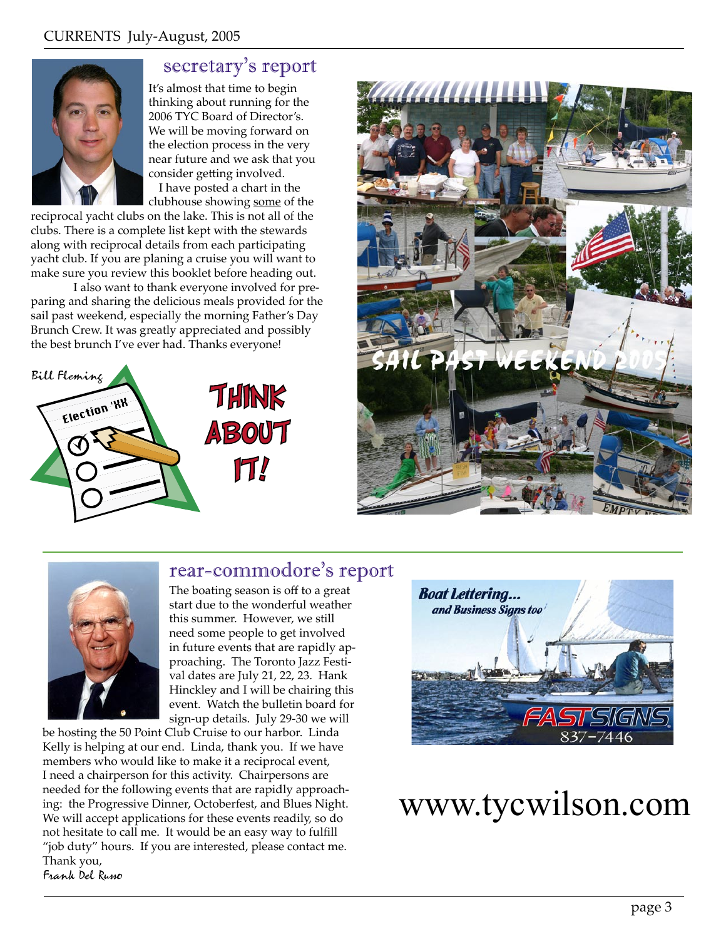

## secretary's report

It's almost that time to begin thinking about running for the 2006 TYC Board of Director's. We will be moving forward on the election process in the very near future and we ask that you consider getting involved. I have posted a chart in the

clubhouse showing some of the

reciprocal yacht clubs on the lake. This is not all of the clubs. There is a complete list kept with the stewards along with reciprocal details from each participating yacht club. If you are planing a cruise you will want to make sure you review this booklet before heading out.

 I also want to thank everyone involved for preparing and sharing the delicious meals provided for the sail past weekend, especially the morning Father's Day Brunch Crew. It was greatly appreciated and possibly the best brunch I've ever had. Thanks everyone!





## rear-commodore's report



The boating season is off to a great start due to the wonderful weather this summer. However, we still need some people to get involved in future events that are rapidly approaching. The Toronto Jazz Festival dates are July 21, 22, 23. Hank Hinckley and I will be chairing this event. Watch the bulletin board for sign-up details. July 29-30 we will

be hosting the 50 Point Club Cruise to our harbor. Linda Kelly is helping at our end. Linda, thank you. If we have members who would like to make it a reciprocal event, I need a chairperson for this activity. Chairpersons are needed for the following events that are rapidly approaching: the Progressive Dinner, Octoberfest, and Blues Night. We will accept applications for these events readily, so do not hesitate to call me. It would be an easy way to fulfill "job duty" hours. If you are interested, please contact me. Thank you, Frank Del Russo



## www.tycwilson.com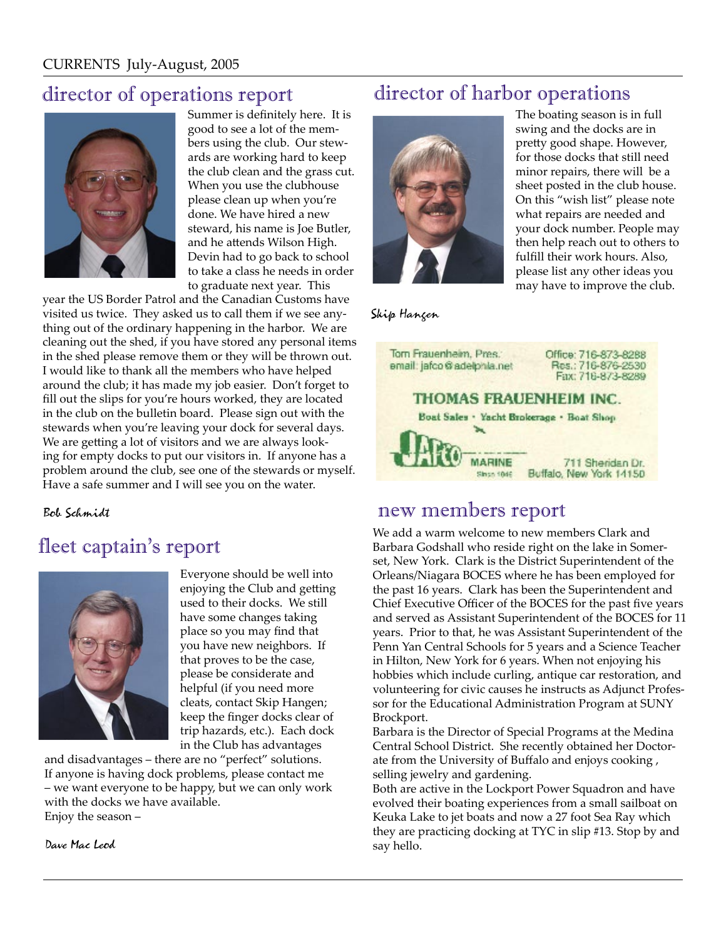## director of operations report



Summer is definitely here. It is good to see a lot of the members using the club. Our stewards are working hard to keep the club clean and the grass cut. When you use the clubhouse please clean up when you're done. We have hired a new steward, his name is Joe Butler, and he attends Wilson High. Devin had to go back to school to take a class he needs in order to graduate next year. This

year the US Border Patrol and the Canadian Customs have visited us twice. They asked us to call them if we see anything out of the ordinary happening in the harbor. We are cleaning out the shed, if you have stored any personal items in the shed please remove them or they will be thrown out. I would like to thank all the members who have helped around the club; it has made my job easier. Don't forget to fill out the slips for you're hours worked, they are located in the club on the bulletin board. Please sign out with the stewards when you're leaving your dock for several days. We are getting a lot of visitors and we are always looking for empty docks to put our visitors in. If anyone has a problem around the club, see one of the stewards or myself. Have a safe summer and I will see you on the water.

Bob Schmidt

## fleet captain's report



Everyone should be well into enjoying the Club and getting used to their docks. We still have some changes taking place so you may find that you have new neighbors. If that proves to be the case, please be considerate and helpful (if you need more cleats, contact Skip Hangen; keep the finger docks clear of trip hazards, etc.). Each dock in the Club has advantages

and disadvantages – there are no "perfect" solutions. If anyone is having dock problems, please contact me – we want everyone to be happy, but we can only work with the docks we have available. Enjoy the season –

Dave Mac Leod

## director of harbor operations



The boating season is in full swing and the docks are in pretty good shape. However, for those docks that still need minor repairs, there will be a sheet posted in the club house. On this "wish list" please note what repairs are needed and your dock number. People may then help reach out to others to fulfill their work hours. Also, please list any other ideas you may have to improve the club.

Skip Hangen



### new members report

We add a warm welcome to new members Clark and Barbara Godshall who reside right on the lake in Somerset, New York. Clark is the District Superintendent of the Orleans/Niagara BOCES where he has been employed for the past 16 years. Clark has been the Superintendent and Chief Executive Officer of the BOCES for the past five years and served as Assistant Superintendent of the BOCES for 11 years. Prior to that, he was Assistant Superintendent of the Penn Yan Central Schools for 5 years and a Science Teacher in Hilton, New York for 6 years. When not enjoying his hobbies which include curling, antique car restoration, and volunteering for civic causes he instructs as Adjunct Professor for the Educational Administration Program at SUNY Brockport.

Barbara is the Director of Special Programs at the Medina Central School District. She recently obtained her Doctorate from the University of Buffalo and enjoys cooking , selling jewelry and gardening.

Both are active in the Lockport Power Squadron and have evolved their boating experiences from a small sailboat on Keuka Lake to jet boats and now a 27 foot Sea Ray which they are practicing docking at TYC in slip #13. Stop by and say hello.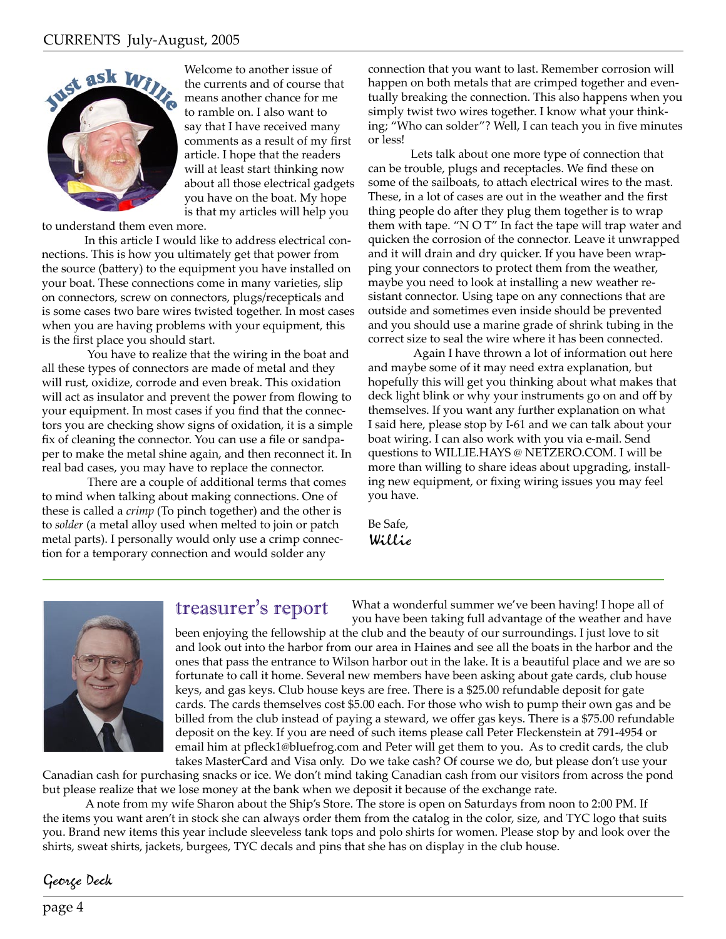

 Welcome to another issue of the currents and of course that means another chance for me to ramble on. I also want to say that I have received many comments as a result of my first article. I hope that the readers will at least start thinking now about all those electrical gadgets you have on the boat. My hope is that my articles will help you

to understand them even more.

 In this article I would like to address electrical connections. This is how you ultimately get that power from the source (battery) to the equipment you have installed on your boat. These connections come in many varieties, slip on connectors, screw on connectors, plugs/recepticals and is some cases two bare wires twisted together. In most cases when you are having problems with your equipment, this is the first place you should start.

 You have to realize that the wiring in the boat and all these types of connectors are made of metal and they will rust, oxidize, corrode and even break. This oxidation will act as insulator and prevent the power from flowing to your equipment. In most cases if you find that the connectors you are checking show signs of oxidation, it is a simple fix of cleaning the connector. You can use a file or sandpaper to make the metal shine again, and then reconnect it. In real bad cases, you may have to replace the connector.

 There are a couple of additional terms that comes to mind when talking about making connections. One of these is called a *crimp* (To pinch together) and the other is to *solder* (a metal alloy used when melted to join or patch metal parts). I personally would only use a crimp connection for a temporary connection and would solder any

connection that you want to last. Remember corrosion will happen on both metals that are crimped together and eventually breaking the connection. This also happens when you simply twist two wires together. I know what your thinking; "Who can solder"? Well, I can teach you in five minutes or less!

Lets talk about one more type of connection that can be trouble, plugs and receptacles. We find these on some of the sailboats, to attach electrical wires to the mast. These, in a lot of cases are out in the weather and the first thing people do after they plug them together is to wrap them with tape. "N O T" In fact the tape will trap water and quicken the corrosion of the connector. Leave it unwrapped and it will drain and dry quicker. If you have been wrapping your connectors to protect them from the weather, maybe you need to look at installing a new weather resistant connector. Using tape on any connections that are outside and sometimes even inside should be prevented and you should use a marine grade of shrink tubing in the correct size to seal the wire where it has been connected.

 Again I have thrown a lot of information out here and maybe some of it may need extra explanation, but hopefully this will get you thinking about what makes that deck light blink or why your instruments go on and off by themselves. If you want any further explanation on what I said here, please stop by I-61 and we can talk about your boat wiring. I can also work with you via e-mail. Send questions to WILLIE.HAYS @ NETZERO.COM. I will be more than willing to share ideas about upgrading, installing new equipment, or fixing wiring issues you may feel you have.

What a wonderful summer we've been having! I hope all of

Be Safe, Willie



#### treasurer's report

you have been taking full advantage of the weather and have been enjoying the fellowship at the club and the beauty of our surroundings. I just love to sit and look out into the harbor from our area in Haines and see all the boats in the harbor and the ones that pass the entrance to Wilson harbor out in the lake. It is a beautiful place and we are so fortunate to call it home. Several new members have been asking about gate cards, club house keys, and gas keys. Club house keys are free. There is a \$25.00 refundable deposit for gate cards. The cards themselves cost \$5.00 each. For those who wish to pump their own gas and be billed from the club instead of paying a steward, we offer gas keys. There is a \$75.00 refundable deposit on the key. If you are need of such items please call Peter Fleckenstein at 791-4954 or email him at pfleck1@bluefrog.com and Peter will get them to you. As to credit cards, the club takes MasterCard and Visa only. Do we take cash? Of course we do, but please don't use your

Canadian cash for purchasing snacks or ice. We don't mind taking Canadian cash from our visitors from across the pond but please realize that we lose money at the bank when we deposit it because of the exchange rate.

 A note from my wife Sharon about the Ship's Store. The store is open on Saturdays from noon to 2:00 PM. If the items you want aren't in stock she can always order them from the catalog in the color, size, and TYC logo that suits you. Brand new items this year include sleeveless tank tops and polo shirts for women. Please stop by and look over the shirts, sweat shirts, jackets, burgees, TYC decals and pins that she has on display in the club house.

#### George Deck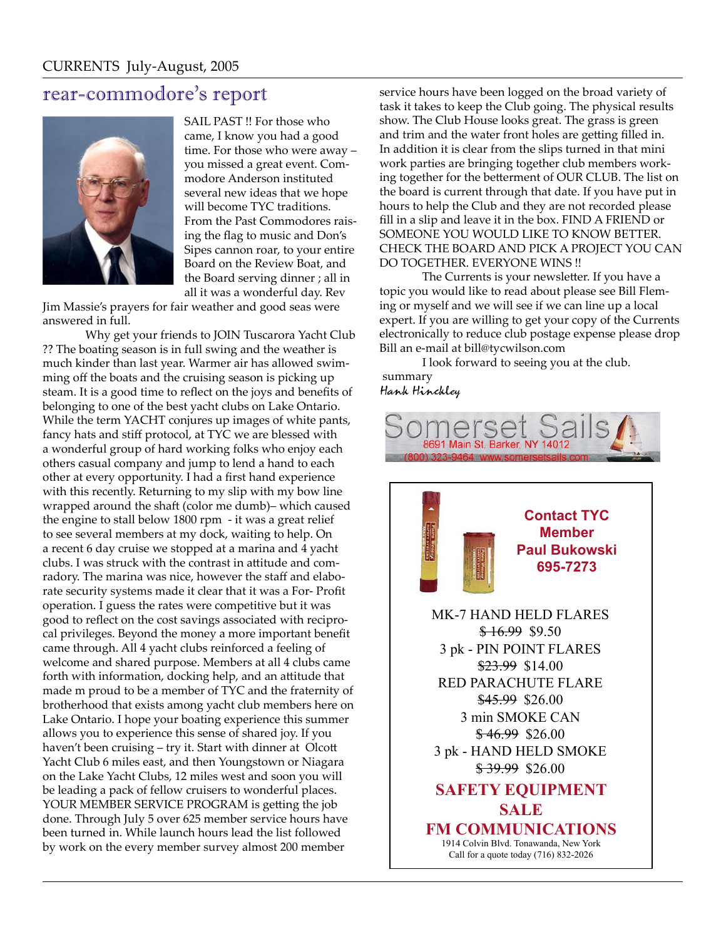### rear-commodore's report



SAIL PAST !! For those who came, I know you had a good time. For those who were away – you missed a great event. Commodore Anderson instituted several new ideas that we hope will become TYC traditions. From the Past Commodores raising the flag to music and Don's Sipes cannon roar, to your entire Board on the Review Boat, and the Board serving dinner ; all in all it was a wonderful day. Rev

Jim Massie's prayers for fair weather and good seas were answered in full.

 Why get your friends to JOIN Tuscarora Yacht Club ?? The boating season is in full swing and the weather is much kinder than last year. Warmer air has allowed swimming off the boats and the cruising season is picking up steam. It is a good time to reflect on the joys and benefits of belonging to one of the best yacht clubs on Lake Ontario. While the term YACHT conjures up images of white pants, fancy hats and stiff protocol, at TYC we are blessed with a wonderful group of hard working folks who enjoy each others casual company and jump to lend a hand to each other at every opportunity. I had a first hand experience with this recently. Returning to my slip with my bow line wrapped around the shaft (color me dumb)- which caused the engine to stall below 1800 rpm - it was a great relief to see several members at my dock, waiting to help. On a recent 6 day cruise we stopped at a marina and 4 yacht clubs. I was struck with the contrast in attitude and comradory. The marina was nice, however the staff and elaborate security systems made it clear that it was a For- Profit operation. I guess the rates were competitive but it was good to reflect on the cost savings associated with reciprocal privileges. Beyond the money a more important benefit came through. All 4 yacht clubs reinforced a feeling of welcome and shared purpose. Members at all 4 clubs came forth with information, docking help, and an attitude that made m proud to be a member of TYC and the fraternity of brotherhood that exists among yacht club members here on Lake Ontario. I hope your boating experience this summer allows you to experience this sense of shared joy. If you haven't been cruising – try it. Start with dinner at Olcott Yacht Club 6 miles east, and then Youngstown or Niagara on the Lake Yacht Clubs, 12 miles west and soon you will be leading a pack of fellow cruisers to wonderful places. YOUR MEMBER SERVICE PROGRAM is getting the job done. Through July 5 over 625 member service hours have been turned in. While launch hours lead the list followed by work on the every member survey almost 200 member

service hours have been logged on the broad variety of task it takes to keep the Club going. The physical results show. The Club House looks great. The grass is green and trim and the water front holes are getting filled in. In addition it is clear from the slips turned in that mini work parties are bringing together club members working together for the betterment of OUR CLUB. The list on the board is current through that date. If you have put in hours to help the Club and they are not recorded please fill in a slip and leave it in the box. FIND A FRIEND or SOMEONE YOU WOULD LIKE TO KNOW BETTER. CHECK THE BOARD AND PICK A PROJECT YOU CAN DO TOGETHER. EVERYONE WINS !!

The Currents is your newsletter. If you have a topic you would like to read about please see Bill Fleming or myself and we will see if we can line up a local expert. If you are willing to get your copy of the Currents electronically to reduce club postage expense please drop Bill an e-mail at bill@tycwilson.com

 I look forward to seeing you at the club. summary